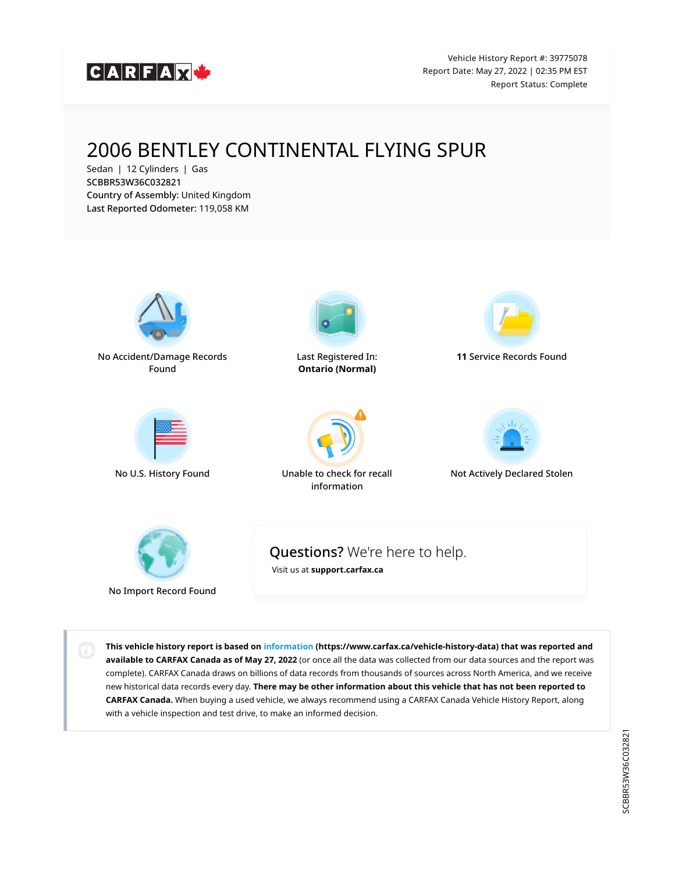

Vehicle History Report #: 39775078 Report Date: May 27, 2022 | 02:35 PM EST Report Status: Complete

# 2006 BENTLEY CONTINENTAL FLYING SPUR

Sedan | 12 Cylinders | Gas SCBBR53W36C032821 Country of Assembly: United Kingdom Last Reported Odometer: 119,058 KM



No Acc[ident/Damage R](https://vhr.carfax.ca/?id=+Hk9rn7y/sh3yF+HkOb7X4z0JqEf9Urs#accident-damage-section)ecords Found





L[ast Registered In](https://vhr.carfax.ca/?id=+Hk9rn7y/sh3yF+HkOb7X4z0JqEf9Urs#registration-section): Ontario (Normal)



No U.S. History Found Una[ble to check for r](https://vhr.carfax.ca/?id=+Hk9rn7y/sh3yF+HkOb7X4z0JqEf9Urs#recalls-section)ecall information



11 S[ervice Records Fo](https://vhr.carfax.ca/?id=+Hk9rn7y/sh3yF+HkOb7X4z0JqEf9Urs#service-history-section)und



Not A[ctively Declared](https://vhr.carfax.ca/?id=+Hk9rn7y/sh3yF+HkOb7X4z0JqEf9Urs#stolen-section) Stolen



No Import Record Found

Questions? We're here to help.

[Visit us at](https://support.carfax.ca/en/support/home) [support.carfax.ca](https://support.carfax.ca/en/support/home)

This vehicle history report is based on [information](https://www.carfax.ca/vehicle-history-data) (https://www.carfax.ca/vehicle-history-data) that was reported and available to CARFAX Canada as of May 27, 2022 (or once all the data was collected from our data sources and the report was complete). CARFAX Canada draws on billions of data records from thousands of sources across North America, and we receive new historical data records every day. There may be other information about this vehicle that has not been reported to CARFAX Canada. When buying a used vehicle, we always recommend using a CARFAX Canada Vehicle History Report, along with a vehicle inspection and test drive, to make an informed decision.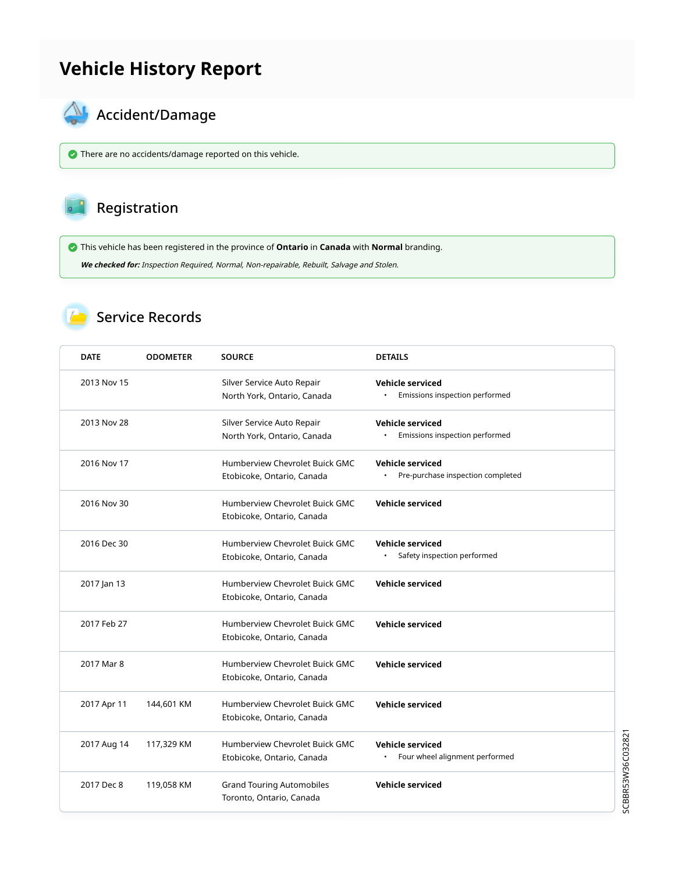## Vehicle History Report



# **AL** Accident/Damage

There are no accidents/damage reported on this vehicle.

### Registration

This vehicle has been registered in the province of Ontario in Canada with Normal branding.

We checked for: Inspection Required, Normal, Non-repairable, Rebuilt, Salvage and Stolen.

#### Service Records

| <b>DATE</b> | <b>ODOMETER</b> | <b>SOURCE</b>                                                | <b>DETAILS</b>                                                      |
|-------------|-----------------|--------------------------------------------------------------|---------------------------------------------------------------------|
| 2013 Nov 15 |                 | Silver Service Auto Repair<br>North York, Ontario, Canada    | Vehicle serviced<br>Emissions inspection performed                  |
| 2013 Nov 28 |                 | Silver Service Auto Repair<br>North York, Ontario, Canada    | <b>Vehicle serviced</b><br>Emissions inspection performed           |
| 2016 Nov 17 |                 | Humberview Chevrolet Buick GMC<br>Etobicoke, Ontario, Canada | <b>Vehicle serviced</b><br>Pre-purchase inspection completed        |
| 2016 Nov 30 |                 | Humberview Chevrolet Buick GMC<br>Etobicoke, Ontario, Canada | <b>Vehicle serviced</b>                                             |
| 2016 Dec 30 |                 | Humberview Chevrolet Buick GMC<br>Etobicoke, Ontario, Canada | <b>Vehicle serviced</b><br>Safety inspection performed<br>$\bullet$ |
| 2017 Jan 13 |                 | Humberview Chevrolet Buick GMC<br>Etobicoke, Ontario, Canada | <b>Vehicle serviced</b>                                             |
| 2017 Feb 27 |                 | Humberview Chevrolet Buick GMC<br>Etobicoke, Ontario, Canada | <b>Vehicle serviced</b>                                             |
| 2017 Mar 8  |                 | Humberview Chevrolet Buick GMC<br>Etobicoke, Ontario, Canada | <b>Vehicle serviced</b>                                             |
| 2017 Apr 11 | 144,601 KM      | Humberview Chevrolet Buick GMC<br>Etobicoke, Ontario, Canada | <b>Vehicle serviced</b>                                             |
| 2017 Aug 14 | 117,329 KM      | Humberview Chevrolet Buick GMC<br>Etobicoke, Ontario, Canada | <b>Vehicle serviced</b><br>Four wheel alignment performed           |
| 2017 Dec 8  | 119,058 KM      | <b>Grand Touring Automobiles</b><br>Toronto, Ontario, Canada | <b>Vehicle serviced</b>                                             |

SCBBR53W36C032821 SCBBR53W36C032821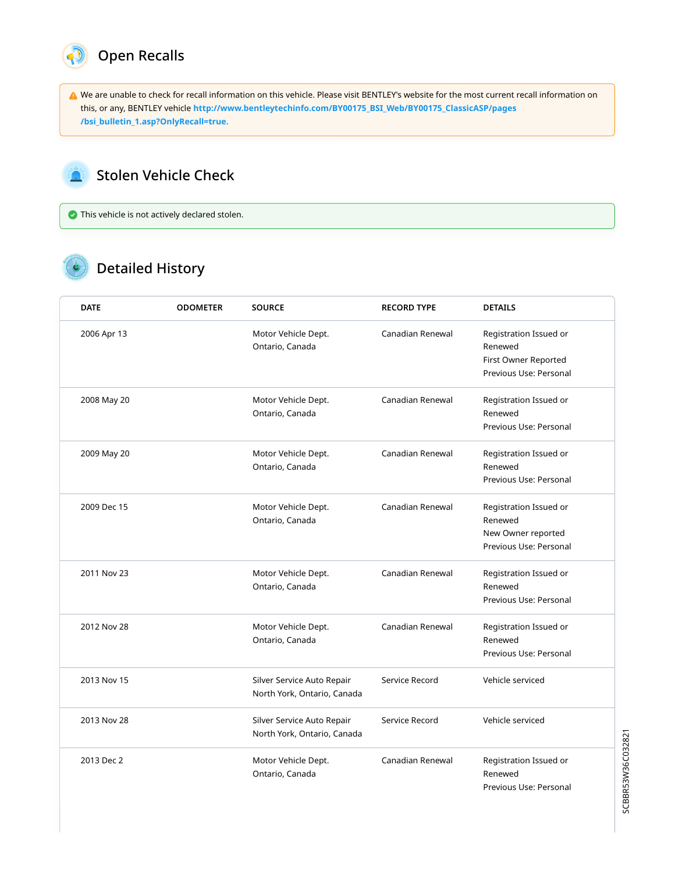

We are unable to check for recall information on this vehicle. Please visit BENTLEY's website for the most current recall information on this, or any, BENTLEY vehicle [http://www.bentleytechinfo.com/BY00175\\_BSI\\_Web/BY00175\\_ClassicASP/pages](http://www.bentleytechinfo.com/BY00175_BSI_Web/BY00175_ClassicASP/pages/bsi_bulletin_1.asp?OnlyRecall=true) [/bsi\\_bulletin\\_1.asp?OnlyRecall=true.](http://www.bentleytechinfo.com/BY00175_BSI_Web/BY00175_ClassicASP/pages/bsi_bulletin_1.asp?OnlyRecall=true)

#### Stolen Vehicle Check A.

This vehicle is not actively declared stolen.

### **C** Detailed History

| <b>DATE</b> | <b>ODOMETER</b> | <b>SOURCE</b>                                             | <b>RECORD TYPE</b> | <b>DETAILS</b>                                                                      |
|-------------|-----------------|-----------------------------------------------------------|--------------------|-------------------------------------------------------------------------------------|
| 2006 Apr 13 |                 | Motor Vehicle Dept.<br>Ontario, Canada                    | Canadian Renewal   | Registration Issued or<br>Renewed<br>First Owner Reported<br>Previous Use: Personal |
| 2008 May 20 |                 | Motor Vehicle Dept.<br>Ontario, Canada                    | Canadian Renewal   | Registration Issued or<br>Renewed<br>Previous Use: Personal                         |
| 2009 May 20 |                 | Motor Vehicle Dept.<br>Ontario, Canada                    | Canadian Renewal   | Registration Issued or<br>Renewed<br>Previous Use: Personal                         |
| 2009 Dec 15 |                 | Motor Vehicle Dept.<br>Ontario, Canada                    | Canadian Renewal   | Registration Issued or<br>Renewed<br>New Owner reported<br>Previous Use: Personal   |
| 2011 Nov 23 |                 | Motor Vehicle Dept.<br>Ontario, Canada                    | Canadian Renewal   | Registration Issued or<br>Renewed<br>Previous Use: Personal                         |
| 2012 Nov 28 |                 | Motor Vehicle Dept.<br>Ontario, Canada                    | Canadian Renewal   | Registration Issued or<br>Renewed<br>Previous Use: Personal                         |
| 2013 Nov 15 |                 | Silver Service Auto Repair<br>North York, Ontario, Canada | Service Record     | Vehicle serviced                                                                    |
| 2013 Nov 28 |                 | Silver Service Auto Repair<br>North York, Ontario, Canada | Service Record     | Vehicle serviced                                                                    |
| 2013 Dec 2  |                 | Motor Vehicle Dept.<br>Ontario, Canada                    | Canadian Renewal   | Registration Issued or<br>Renewed<br>Previous Use: Personal                         |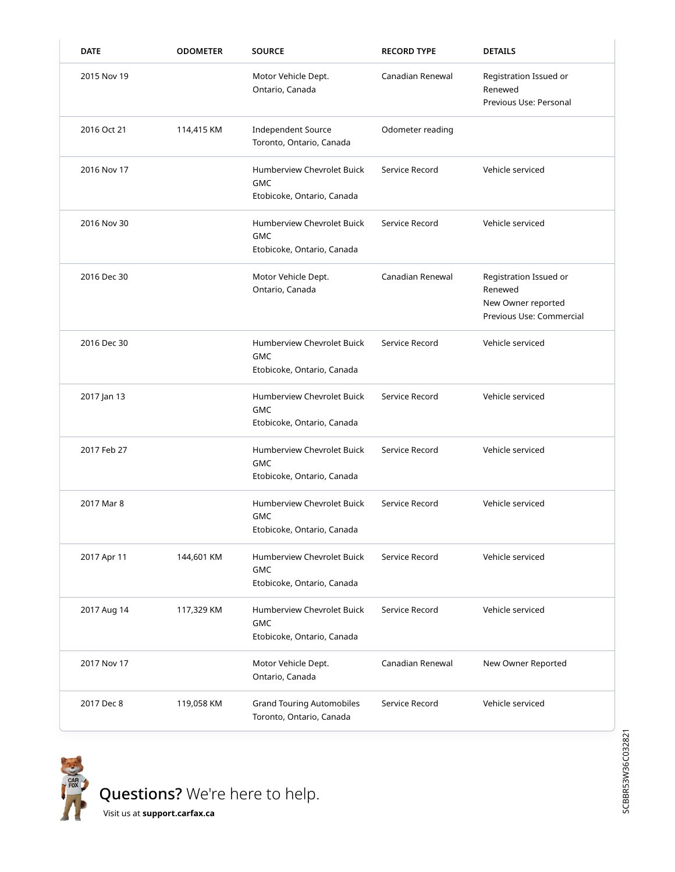| <b>DATE</b> | <b>ODOMETER</b> | <b>SOURCE</b>                                                                 | <b>RECORD TYPE</b> | <b>DETAILS</b>                                                                      |
|-------------|-----------------|-------------------------------------------------------------------------------|--------------------|-------------------------------------------------------------------------------------|
| 2015 Nov 19 |                 | Motor Vehicle Dept.<br>Ontario, Canada                                        | Canadian Renewal   | Registration Issued or<br>Renewed<br>Previous Use: Personal                         |
| 2016 Oct 21 | 114,415 KM      | <b>Independent Source</b><br>Toronto, Ontario, Canada                         | Odometer reading   |                                                                                     |
| 2016 Nov 17 |                 | Humberview Chevrolet Buick<br><b>GMC</b><br>Etobicoke, Ontario, Canada        | Service Record     | Vehicle serviced                                                                    |
| 2016 Nov 30 |                 | Humberview Chevrolet Buick<br><b>GMC</b><br>Etobicoke, Ontario, Canada        | Service Record     | Vehicle serviced                                                                    |
| 2016 Dec 30 |                 | Motor Vehicle Dept.<br>Ontario, Canada                                        | Canadian Renewal   | Registration Issued or<br>Renewed<br>New Owner reported<br>Previous Use: Commercial |
| 2016 Dec 30 |                 | Humberview Chevrolet Buick<br><b>GMC</b><br>Etobicoke, Ontario, Canada        | Service Record     | Vehicle serviced                                                                    |
| 2017 Jan 13 |                 | <b>Humberview Chevrolet Buick</b><br><b>GMC</b><br>Etobicoke, Ontario, Canada | Service Record     | Vehicle serviced                                                                    |
| 2017 Feb 27 |                 | Humberview Chevrolet Buick<br><b>GMC</b><br>Etobicoke, Ontario, Canada        | Service Record     | Vehicle serviced                                                                    |
| 2017 Mar 8  |                 | Humberview Chevrolet Buick<br><b>GMC</b><br>Etobicoke, Ontario, Canada        | Service Record     | Vehicle serviced                                                                    |
| 2017 Apr 11 | 144,601 KM      | Humberview Chevrolet Buick<br><b>GMC</b><br>Etobicoke, Ontario, Canada        | Service Record     | Vehicle serviced                                                                    |
| 2017 Aug 14 | 117,329 KM      | Humberview Chevrolet Buick<br><b>GMC</b><br>Etobicoke, Ontario, Canada        | Service Record     | Vehicle serviced                                                                    |
| 2017 Nov 17 |                 | Motor Vehicle Dept.<br>Ontario, Canada                                        | Canadian Renewal   | New Owner Reported                                                                  |
| 2017 Dec 8  | 119,058 KM      | <b>Grand Touring Automobiles</b><br>Toronto, Ontario, Canada                  | Service Record     | Vehicle serviced                                                                    |



[Visit us at](https://support.carfax.ca/en/support/home) [support.carfax.ca](https://support.carfax.ca/en/support/home)

SCBBR53W36C032821 SCBBR53W36C032821